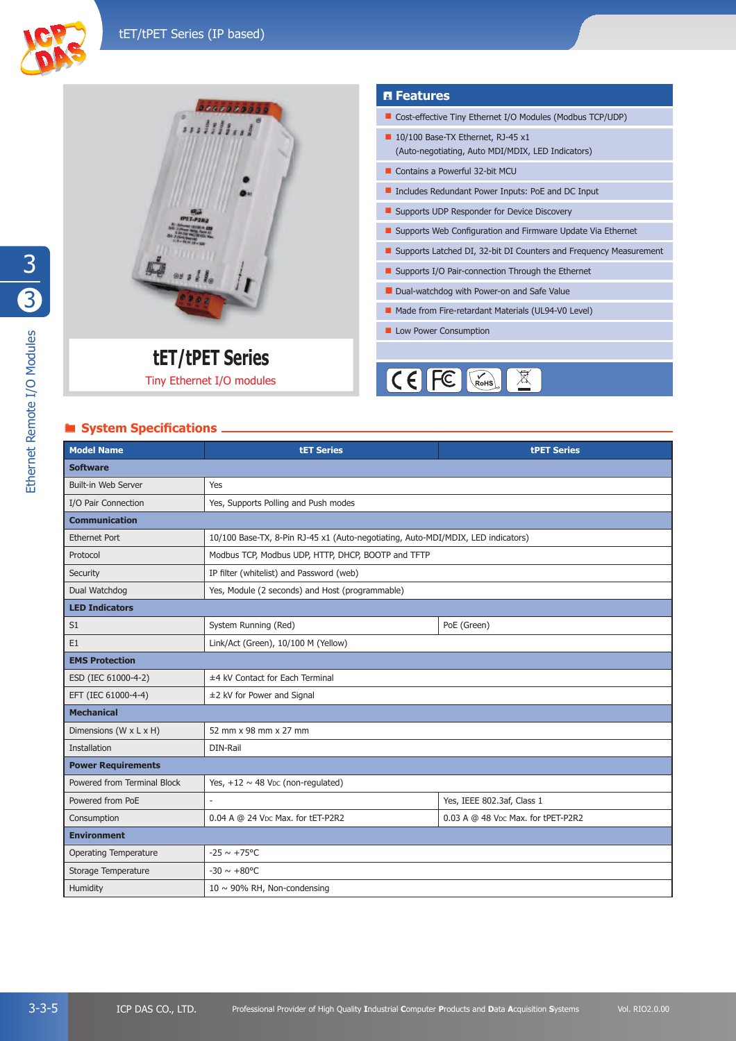



# tET/tPET Series

Tiny Ethernet I/O modules

# **System Specifications**

#### **A** Features

- Cost-effective Tiny Ethernet I/O Modules (Modbus TCP/UDP)
- 10/100 Base-TX Ethernet, RJ-45 x1 (Auto-negotiating, Auto MDI/MDIX, LED Indicators)
- Contains a Powerful 32-bit MCU
- Includes Redundant Power Inputs: PoE and DC Input
- Supports UDP Responder for Device Discovery
- Supports Web Configuration and Firmware Update Via Ethernet
- Supports Latched DI, 32-bit DI Counters and Frequency Measurement
- Supports I/O Pair-connection Through the Ethernet
- Dual-watchdog with Power-on and Safe Value
- Made from Fire-retardant Materials (UL94-V0 Level)
- Low Power Consumption



| <b>Model Name</b>            | <b>tET Series</b>                                                                | <b>tPET Series</b>                 |  |
|------------------------------|----------------------------------------------------------------------------------|------------------------------------|--|
| <b>Software</b>              |                                                                                  |                                    |  |
| <b>Built-in Web Server</b>   | Yes                                                                              |                                    |  |
| I/O Pair Connection          | Yes, Supports Polling and Push modes                                             |                                    |  |
| <b>Communication</b>         |                                                                                  |                                    |  |
| <b>Ethernet Port</b>         | 10/100 Base-TX, 8-Pin RJ-45 x1 (Auto-negotiating, Auto-MDI/MDIX, LED indicators) |                                    |  |
| Protocol                     | Modbus TCP, Modbus UDP, HTTP, DHCP, BOOTP and TFTP                               |                                    |  |
| Security                     | IP filter (whitelist) and Password (web)                                         |                                    |  |
| Dual Watchdog                | Yes, Module (2 seconds) and Host (programmable)                                  |                                    |  |
| <b>LED Indicators</b>        |                                                                                  |                                    |  |
| S1                           | System Running (Red)                                                             | PoE (Green)                        |  |
| E <sub>1</sub>               | Link/Act (Green), 10/100 M (Yellow)                                              |                                    |  |
| <b>EMS Protection</b>        |                                                                                  |                                    |  |
| ESD (IEC 61000-4-2)          | ±4 kV Contact for Each Terminal                                                  |                                    |  |
| EFT (IEC 61000-4-4)          | ±2 kV for Power and Signal                                                       |                                    |  |
| <b>Mechanical</b>            |                                                                                  |                                    |  |
| Dimensions (W x L x H)       | 52 mm x 98 mm x 27 mm                                                            |                                    |  |
| Installation                 | DIN-Rail                                                                         |                                    |  |
| <b>Power Requirements</b>    |                                                                                  |                                    |  |
| Powered from Terminal Block  | Yes, $+12 \sim 48$ V <sub>DC</sub> (non-regulated)                               |                                    |  |
| Powered from PoE             |                                                                                  | Yes, IEEE 802.3af, Class 1         |  |
| Consumption                  | 0.04 A @ 24 VDC Max. for tET-P2R2                                                | 0.03 A @ 48 VDC Max. for tPET-P2R2 |  |
| <b>Environment</b>           |                                                                                  |                                    |  |
| <b>Operating Temperature</b> | $-25 \sim +75^{\circ}$ C                                                         |                                    |  |
| Storage Temperature          | $-30 \sim +80^{\circ}$ C                                                         |                                    |  |
| Humidity                     | 10 $\sim$ 90% RH, Non-condensing                                                 |                                    |  |

Ethernet Remote I/O Modules (U) U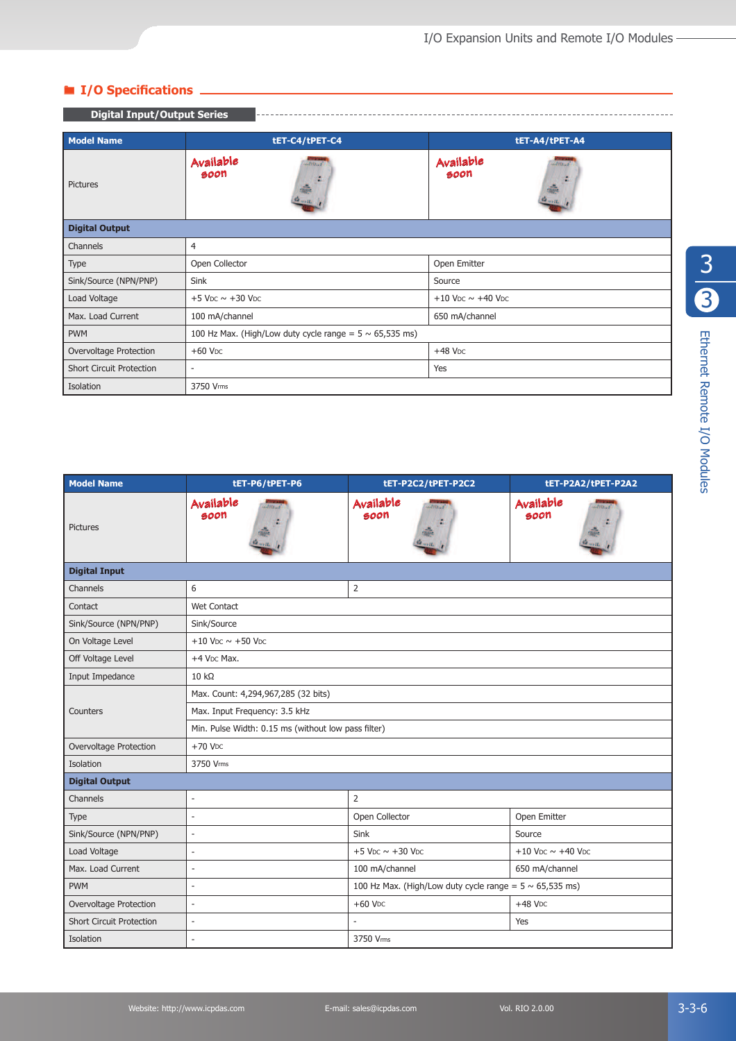# ® **I/O Specifi cations**

| <b>Digital Input/Output Series</b> |                                                              |                                           |  |
|------------------------------------|--------------------------------------------------------------|-------------------------------------------|--|
| <b>Model Name</b>                  | tET-C4/tPET-C4                                               | tET-A4/tPET-A4                            |  |
| Pictures                           | Available<br><b>Attitud</b><br>soon<br>á.<br>in.             | Available<br><b>ALTINIA</b><br>soon<br>÷. |  |
| <b>Digital Output</b>              |                                                              |                                           |  |
| Channels                           | 4                                                            |                                           |  |
| Type                               | Open Collector                                               | Open Emitter                              |  |
| Sink/Source (NPN/PNP)              | Sink                                                         | Source                                    |  |
| Load Voltage                       | $+5$ VDC $\sim$ +30 VDC                                      | +10 VDC $\sim$ +40 VDC                    |  |
| Max. Load Current                  | 100 mA/channel                                               | 650 mA/channel                            |  |
| <b>PWM</b>                         | 100 Hz Max. (High/Low duty cycle range = $5 \sim 65,535$ ms) |                                           |  |
| Overvoltage Protection             | $+60$ V <sub>DC</sub>                                        | $+48$ V <sub>DC</sub>                     |  |
| <b>Short Circuit Protection</b>    | Yes                                                          |                                           |  |
| Isolation                          | 3750 Vrms                                                    |                                           |  |

| <b>Model Name</b>               | tET-P6/tPET-P6                                                                           | tET-P2C2/tPET-P2C2                                | tET-P2A2/tPET-P2A2                                 |  |
|---------------------------------|------------------------------------------------------------------------------------------|---------------------------------------------------|----------------------------------------------------|--|
| <b>Pictures</b>                 | Available<br>Attrick<br>soon                                                             | Available<br><b>Attraction</b><br>soon            | Available<br>atitical<br>soon                      |  |
| <b>Digital Input</b>            |                                                                                          |                                                   |                                                    |  |
| Channels                        | 6                                                                                        | 2                                                 |                                                    |  |
| Contact                         | <b>Wet Contact</b>                                                                       |                                                   |                                                    |  |
| Sink/Source (NPN/PNP)           | Sink/Source                                                                              |                                                   |                                                    |  |
| On Voltage Level                | $+10$ V <sub>DC</sub> $\sim$ +50 V <sub>DC</sub>                                         |                                                   |                                                    |  |
| Off Voltage Level               | +4 V <sub>DC</sub> Max.                                                                  |                                                   |                                                    |  |
| Input Impedance                 | $10 k\Omega$                                                                             |                                                   |                                                    |  |
|                                 | Max. Count: 4,294,967,285 (32 bits)                                                      |                                                   |                                                    |  |
| Counters                        | Max. Input Frequency: 3.5 kHz                                                            |                                                   |                                                    |  |
|                                 | Min. Pulse Width: 0.15 ms (without low pass filter)                                      |                                                   |                                                    |  |
| Overvoltage Protection          | $+70$ V <sub>DC</sub>                                                                    |                                                   |                                                    |  |
| Isolation                       | 3750 Vrms                                                                                |                                                   |                                                    |  |
| <b>Digital Output</b>           |                                                                                          |                                                   |                                                    |  |
| Channels                        | ٠                                                                                        | $\overline{2}$                                    |                                                    |  |
| Type                            | L,                                                                                       | Open Collector                                    | Open Emitter                                       |  |
| Sink/Source (NPN/PNP)           | $\overline{\phantom{a}}$                                                                 | Sink                                              | Source                                             |  |
| Load Voltage                    | ÷                                                                                        | $+5$ V <sub>DC</sub> $\sim$ $+30$ V <sub>DC</sub> | $+10$ V <sub>DC</sub> $\sim$ $+40$ V <sub>DC</sub> |  |
| Max. Load Current               | 100 mA/channel<br>650 mA/channel<br>$\overline{\phantom{a}}$                             |                                                   |                                                    |  |
| <b>PWM</b>                      | 100 Hz Max. (High/Low duty cycle range = $5 \sim 65,535$ ms)<br>$\overline{\phantom{a}}$ |                                                   |                                                    |  |
| Overvoltage Protection          | $+60$ V <sub>DC</sub><br>$+48$ V <sub>DC</sub><br>$\overline{\phantom{a}}$               |                                                   |                                                    |  |
| <b>Short Circuit Protection</b> | L,                                                                                       |                                                   | Yes                                                |  |
| Isolation                       | 3750 Vrms                                                                                |                                                   |                                                    |  |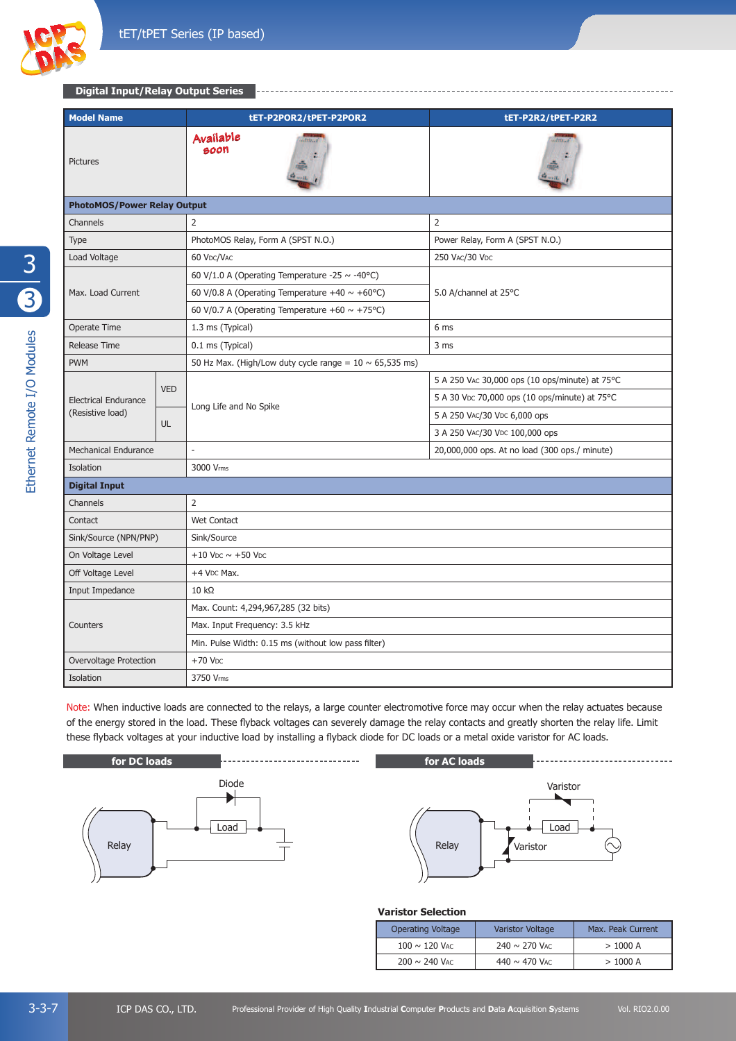

#### **Digital Input/Relay Output Series**

| <b>Model Name</b>                  |            | tET-P2POR2/tPET-P2POR2                                       | tET-P2R2/tPET-P2R2                             |
|------------------------------------|------------|--------------------------------------------------------------|------------------------------------------------|
| <b>Pictures</b>                    |            | Available<br>soon                                            |                                                |
| <b>PhotoMOS/Power Relay Output</b> |            |                                                              |                                                |
| Channels                           |            | 2                                                            | $\overline{2}$                                 |
| <b>Type</b>                        |            | PhotoMOS Relay, Form A (SPST N.O.)                           | Power Relay, Form A (SPST N.O.)                |
| Load Voltage                       |            | 60 VDC/VAC                                                   | 250 VAC/30 VDC                                 |
|                                    |            | 60 V/1.0 A (Operating Temperature -25 $\sim$ -40°C)          |                                                |
| Max. Load Current                  |            | 60 V/0.8 A (Operating Temperature +40 $\sim$ +60°C)          | 5.0 A/channel at 25°C                          |
|                                    |            | 60 V/0.7 A (Operating Temperature +60 $\sim$ +75°C)          |                                                |
| Operate Time                       |            | 1.3 ms (Typical)                                             | 6 ms                                           |
| <b>Release Time</b>                |            | 0.1 ms (Typical)                                             | 3 ms                                           |
| <b>PWM</b>                         |            | 50 Hz Max. (High/Low duty cycle range = $10 \sim 65,535$ ms) |                                                |
|                                    | <b>VED</b> | Long Life and No Spike                                       | 5 A 250 VAC 30,000 ops (10 ops/minute) at 75°C |
| <b>Electrical Endurance</b>        |            |                                                              | 5 A 30 VDc 70,000 ops (10 ops/minute) at 75°C  |
| (Resistive load)                   | UL.        |                                                              | 5 A 250 VAC/30 VDC 6,000 ops                   |
|                                    |            |                                                              | 3 A 250 VAC/30 VDC 100,000 ops                 |
| <b>Mechanical Endurance</b>        |            |                                                              | 20,000,000 ops. At no load (300 ops./ minute)  |
| Isolation                          |            | 3000 Vrms                                                    |                                                |
| <b>Digital Input</b>               |            |                                                              |                                                |
| Channels                           |            | 2                                                            |                                                |
| Contact                            |            | <b>Wet Contact</b>                                           |                                                |
| Sink/Source (NPN/PNP)              |            | Sink/Source                                                  |                                                |
| On Voltage Level                   |            | $+10$ V <sub>DC</sub> $\sim$ +50 V <sub>DC</sub>             |                                                |
| Off Voltage Level                  |            | +4 V <sub>DC</sub> Max.                                      |                                                |
| Input Impedance                    |            | $10 k\Omega$                                                 |                                                |
|                                    |            | Max. Count: 4,294,967,285 (32 bits)                          |                                                |
| Counters                           |            | Max. Input Frequency: 3.5 kHz                                |                                                |
|                                    |            | Min. Pulse Width: 0.15 ms (without low pass filter)          |                                                |
| Overvoltage Protection             |            | $+70$ V <sub>DC</sub>                                        |                                                |

Note: When inductive loads are connected to the relays, a large counter electromotive force may occur when the relay actuates because of the energy stored in the load. These flyback voltages can severely damage the relay contacts and greatly shorten the relay life. Limit these flyback voltages at your inductive load by installing a flyback diode for DC loads or a metal oxide varistor for AC loads.



Isolation 3750 Vms



#### **Varistor Selection**

| <b>Operating Voltage</b> | Varistor Voltage   | Max. Peak Current |
|--------------------------|--------------------|-------------------|
| $100 \sim 120$ Vac       | $240 \sim 270$ VAC | >1000 A           |
| $200 \sim 240$ VAC       | 440 $\sim$ 470 VAC | >1000 A           |

3